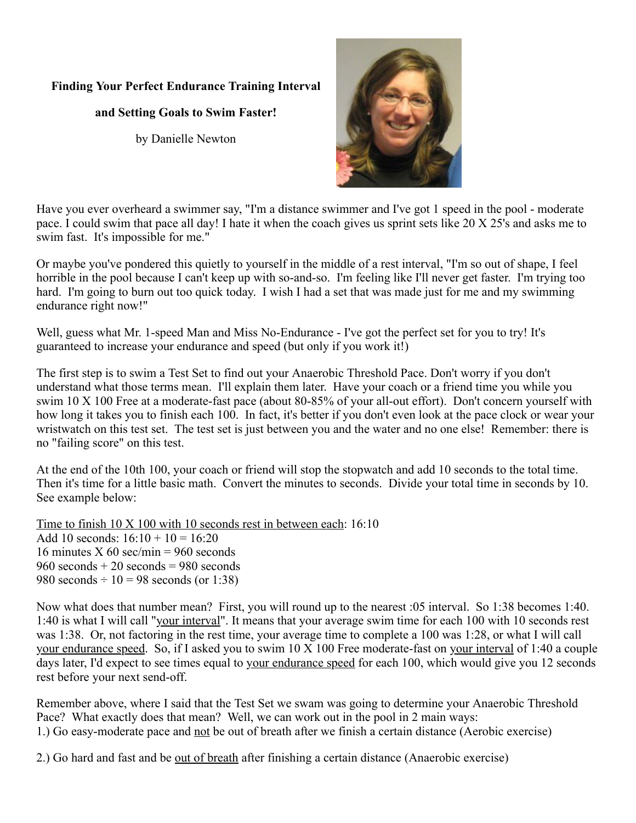## **Finding Your Perfect Endurance Training Interval**

## **and Setting Goals to Swim Faster!**

by Danielle Newton



Have you ever overheard a swimmer say, "I'm a distance swimmer and I've got 1 speed in the pool - moderate pace. I could swim that pace all day! I hate it when the coach gives us sprint sets like 20 X 25's and asks me to swim fast. It's impossible for me."

Or maybe you've pondered this quietly to yourself in the middle of a rest interval, "I'm so out of shape, I feel horrible in the pool because I can't keep up with so-and-so. I'm feeling like I'll never get faster. I'm trying too hard. I'm going to burn out too quick today. I wish I had a set that was made just for me and my swimming endurance right now!"

Well, guess what Mr. 1-speed Man and Miss No-Endurance - I've got the perfect set for you to try! It's guaranteed to increase your endurance and speed (but only if you work it!)

The first step is to swim a Test Set to find out your Anaerobic Threshold Pace. Don't worry if you don't understand what those terms mean. I'll explain them later. Have your coach or a friend time you while you swim 10 X 100 Free at a moderate-fast pace (about 80-85% of your all-out effort). Don't concern yourself with how long it takes you to finish each 100. In fact, it's better if you don't even look at the pace clock or wear your wristwatch on this test set. The test set is just between you and the water and no one else! Remember: there is no "failing score" on this test.

At the end of the 10th 100, your coach or friend will stop the stopwatch and add 10 seconds to the total time. Then it's time for a little basic math. Convert the minutes to seconds. Divide your total time in seconds by 10. See example below:

Time to finish  $10 \times 100$  with 10 seconds rest in between each: 16:10 Add 10 seconds:  $16:10 + 10 = 16:20$ 16 minutes X 60 sec/min =  $960$  seconds  $960$  seconds  $+ 20$  seconds  $= 980$  seconds 980 seconds  $\div 10 = 98$  seconds (or 1:38)

Now what does that number mean? First, you will round up to the nearest :05 interval. So 1:38 becomes 1:40. 1:40 is what I will call "your interval". It means that your average swim time for each 100 with 10 seconds rest was 1:38. Or, not factoring in the rest time, your average time to complete a 100 was 1:28, or what I will call your endurance speed. So, if I asked you to swim 10 X 100 Free moderate-fast on your interval of 1:40 a couple days later, I'd expect to see times equal to your endurance speed for each 100, which would give you 12 seconds rest before your next send-off.

Remember above, where I said that the Test Set we swam was going to determine your Anaerobic Threshold Pace? What exactly does that mean? Well, we can work out in the pool in 2 main ways: 1.) Go easy-moderate pace and not be out of breath after we finish a certain distance (Aerobic exercise)

2.) Go hard and fast and be <u>out of breath</u> after finishing a certain distance (Anaerobic exercise)